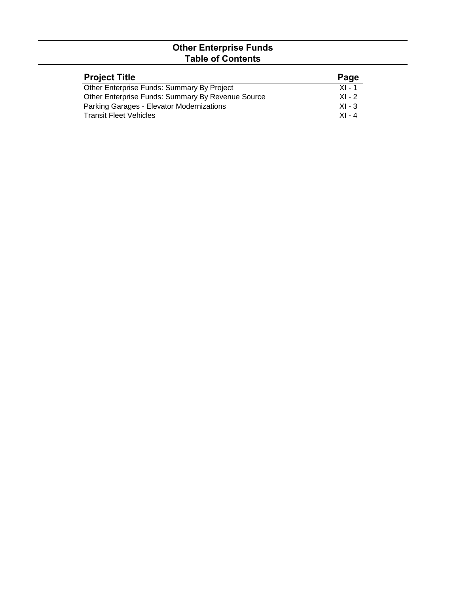## **Other Enterprise Funds Table of Contents**

| <b>Project Title</b>                              | Page     |
|---------------------------------------------------|----------|
| Other Enterprise Funds: Summary By Project        | $XI - 1$ |
| Other Enterprise Funds: Summary By Revenue Source | $XL - 2$ |
| Parking Garages - Elevator Modernizations         | $XI - 3$ |
| <b>Transit Fleet Vehicles</b>                     | $XI - 4$ |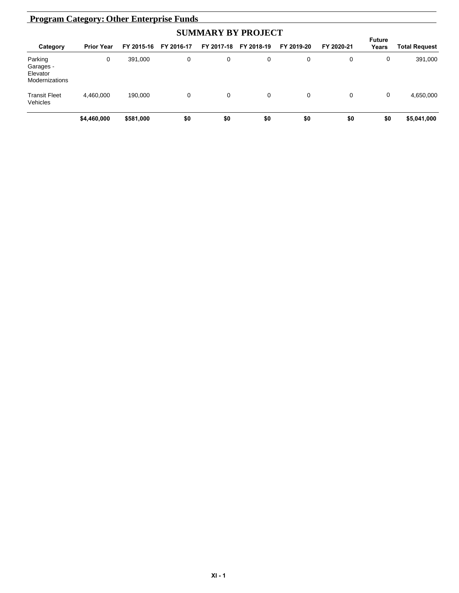| <b>Program Category: Other Enterprise Funds</b>    |                   |            |             |            |            |            |            |                        |                      |  |
|----------------------------------------------------|-------------------|------------|-------------|------------|------------|------------|------------|------------------------|----------------------|--|
|                                                    |                   |            |             |            |            |            |            |                        |                      |  |
| Category                                           | <b>Prior Year</b> | FY 2015-16 | FY 2016-17  | FY 2017-18 | FY 2018-19 | FY 2019-20 | FY 2020-21 | <b>Future</b><br>Years | <b>Total Request</b> |  |
| Parking<br>Garages -<br>Elevator<br>Modernizations | 0                 | 391,000    | $\mathbf 0$ | 0          | 0          | 0          | 0          | 0                      | 391,000              |  |
| <b>Transit Fleet</b><br>Vehicles                   | 4,460,000         | 190.000    | 0           | 0          | 0          | 0          | 0          | 0                      | 4,650,000            |  |
|                                                    | \$4,460,000       | \$581,000  | \$0         | \$0        | \$0        | \$0        | \$0        | \$0                    | \$5,041,000          |  |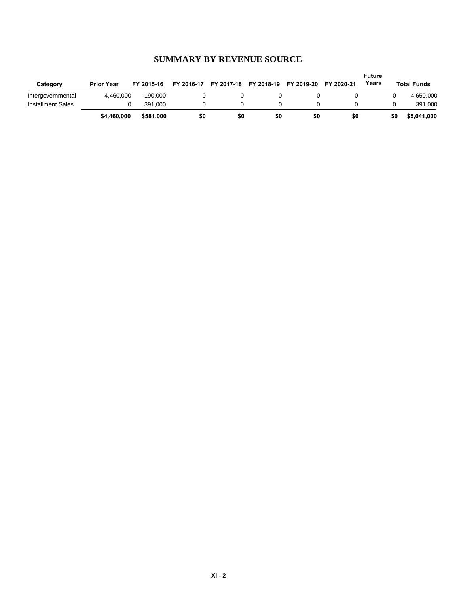| Category          | <b>Prior Year</b> | FY 2015-16 | FY 2016-17 | FY 2017-18 FY 2018-19 |     | FY 2019-20 | FY 2020-21 | <b>Future</b><br>Years |     | <b>Total Funds</b> |
|-------------------|-------------------|------------|------------|-----------------------|-----|------------|------------|------------------------|-----|--------------------|
| Intergovernmental | 4.460.000         | 190.000    |            |                       |     |            |            |                        |     | 4,650,000          |
| Installment Sales |                   | 391.000    |            |                       |     |            |            |                        |     | 391.000            |
|                   | \$4,460,000       | \$581,000  | \$0        | \$0                   | \$0 | \$0        | \$0        |                        | \$0 | \$5,041,000        |

## **SUMMARY BY REVENUE SOURCE**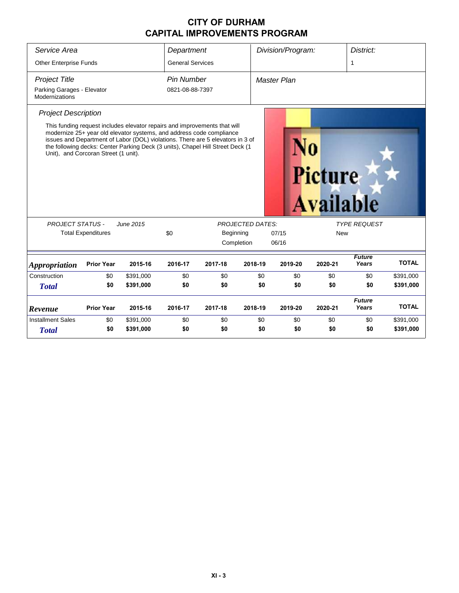## **CITY OF DURHAM CAPITAL IMPROVEMENTS PROGRAM**

| Service Area<br><b>Other Enterprise Funds</b><br><b>Project Title</b> |                                      |                                                                                                                                                                                                                                                                                                                       | Department<br><b>General Services</b><br>Pin Number |           |                         | Division/Program:<br><b>Master Plan</b> |                                    | District:<br>1         |              |  |  |  |
|-----------------------------------------------------------------------|--------------------------------------|-----------------------------------------------------------------------------------------------------------------------------------------------------------------------------------------------------------------------------------------------------------------------------------------------------------------------|-----------------------------------------------------|-----------|-------------------------|-----------------------------------------|------------------------------------|------------------------|--------------|--|--|--|
| Parking Garages - Elevator<br>Modernizations                          |                                      |                                                                                                                                                                                                                                                                                                                       | 0821-08-88-7397                                     |           |                         |                                         |                                    |                        |              |  |  |  |
| <b>Project Description</b>                                            | Unit), and Corcoran Street (1 unit). | This funding request includes elevator repairs and improvements that will<br>modernize 25+ year old elevator systems, and address code compliance<br>issues and Department of Labor (DOL) violations. There are 5 elevators in 3 of<br>the following decks: Center Parking Deck (3 units), Chapel Hill Street Deck (1 |                                                     |           |                         |                                         | <b>Picture</b><br><b>Available</b> |                        |              |  |  |  |
| <b>PROJECT STATUS -</b>                                               |                                      | June 2015                                                                                                                                                                                                                                                                                                             |                                                     |           | <b>PROJECTED DATES:</b> |                                         |                                    | <b>TYPE REQUEST</b>    |              |  |  |  |
| <b>Total Expenditures</b>                                             |                                      |                                                                                                                                                                                                                                                                                                                       | \$0                                                 | Beginning | Completion              | 07/15<br>06/16                          | <b>New</b>                         |                        |              |  |  |  |
| <b>Appropriation</b>                                                  | <b>Prior Year</b>                    | 2015-16                                                                                                                                                                                                                                                                                                               | 2016-17                                             | 2017-18   | 2018-19                 | 2019-20                                 | 2020-21                            | <b>Future</b><br>Years | <b>TOTAL</b> |  |  |  |
| Construction                                                          | \$0                                  | \$391,000                                                                                                                                                                                                                                                                                                             | \$0                                                 | \$0       | \$0                     | \$0                                     | \$0                                | \$0                    | \$391,000    |  |  |  |
| <b>Total</b>                                                          | \$0                                  | \$391,000                                                                                                                                                                                                                                                                                                             | \$0                                                 | \$0       | \$0                     | \$0                                     | \$0                                | \$0                    | \$391,000    |  |  |  |
| Revenue                                                               | <b>Prior Year</b>                    | 2015-16                                                                                                                                                                                                                                                                                                               | 2016-17                                             | 2017-18   | 2018-19                 | 2019-20                                 | 2020-21                            | <b>Future</b><br>Years | <b>TOTAL</b> |  |  |  |
| <b>Installment Sales</b>                                              | \$0                                  | \$391,000                                                                                                                                                                                                                                                                                                             | \$0                                                 | \$0       | \$0                     | \$0                                     | \$0                                | \$0                    | \$391,000    |  |  |  |
| <b>Total</b>                                                          | \$0                                  | \$391,000                                                                                                                                                                                                                                                                                                             | \$0                                                 | \$0       | \$0                     | \$0                                     | \$0                                | \$0                    | \$391,000    |  |  |  |